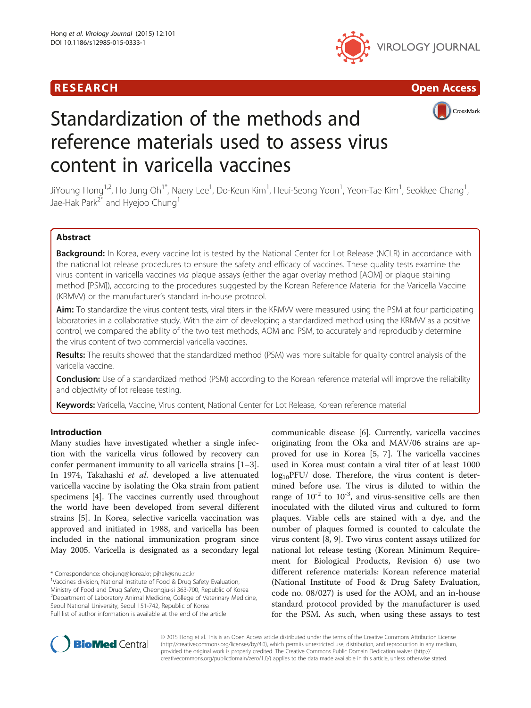





# Standardization of the methods and reference materials used to assess virus content in varicella vaccines

JiYoung Hong<sup>1,2</sup>, Ho Jung Oh<sup>1\*</sup>, Naery Lee<sup>1</sup>, Do-Keun Kim<sup>1</sup>, Heui-Seong Yoon<sup>1</sup>, Yeon-Tae Kim<sup>1</sup>, Seokkee Chang<sup>1</sup> , Jae-Hak Park<sup>2\*</sup> and Hyejoo Chung<sup>1</sup>

# Abstract

**Background:** In Korea, every vaccine lot is tested by the National Center for Lot Release (NCLR) in accordance with the national lot release procedures to ensure the safety and efficacy of vaccines. These quality tests examine the virus content in varicella vaccines via plaque assays (either the agar overlay method [AOM] or plaque staining method [PSM]), according to the procedures suggested by the Korean Reference Material for the Varicella Vaccine (KRMVV) or the manufacturer's standard in-house protocol.

Aim: To standardize the virus content tests, viral titers in the KRMVV were measured using the PSM at four participating laboratories in a collaborative study. With the aim of developing a standardized method using the KRMVV as a positive control, we compared the ability of the two test methods, AOM and PSM, to accurately and reproducibly determine the virus content of two commercial varicella vaccines.

Results: The results showed that the standardized method (PSM) was more suitable for quality control analysis of the varicella vaccine.

**Conclusion:** Use of a standardized method (PSM) according to the Korean reference material will improve the reliability and objectivity of lot release testing.

Keywords: Varicella, Vaccine, Virus content, National Center for Lot Release, Korean reference material

# Introduction

Many studies have investigated whether a single infection with the varicella virus followed by recovery can confer permanent immunity to all varicella strains [\[1](#page-4-0)–[3](#page-4-0)]. In 1974, Takahashi et al. developed a live attenuated varicella vaccine by isolating the Oka strain from patient specimens [\[4](#page-4-0)]. The vaccines currently used throughout the world have been developed from several different strains [[5\]](#page-4-0). In Korea, selective varicella vaccination was approved and initiated in 1988, and varicella has been included in the national immunization program since May 2005. Varicella is designated as a secondary legal

Ministry of Food and Drug Safety, Cheongju-si 363-700, Republic of Korea <sup>2</sup> Department of Laboratory Animal Medicine, College of Veterinary Medicine, Seoul National University, Seoul 151-742, Republic of Korea Full list of author information is available at the end of the article

communicable disease [[6\]](#page-4-0). Currently, varicella vaccines originating from the Oka and MAV/06 strains are approved for use in Korea [\[5, 7\]](#page-4-0). The varicella vaccines used in Korea must contain a viral titer of at least 1000  $log_{10}$ PFU/ dose. Therefore, the virus content is determined before use. The virus is diluted to within the range of  $10^{-2}$  to  $10^{-3}$ , and virus-sensitive cells are then inoculated with the diluted virus and cultured to form plaques. Viable cells are stained with a dye, and the number of plaques formed is counted to calculate the virus content [[8, 9\]](#page-4-0). Two virus content assays utilized for national lot release testing (Korean Minimum Requirement for Biological Products, Revision 6) use two different reference materials: Korean reference material (National Institute of Food & Drug Safety Evaluation, code no. 08/027) is used for the AOM, and an in-house standard protocol provided by the manufacturer is used for the PSM. As such, when using these assays to test



© 2015 Hong et al. This is an Open Access article distributed under the terms of the Creative Commons Attribution License [\(http://creativecommons.org/licenses/by/4.0\)](http://creativecommons.org/licenses/by/4.0), which permits unrestricted use, distribution, and reproduction in any medium, provided the original work is properly credited. The Creative Commons Public Domain Dedication waiver [\(http://](http://creativecommons.org/publicdomain/zero/1.0/) [creativecommons.org/publicdomain/zero/1.0/\)](http://creativecommons.org/publicdomain/zero/1.0/) applies to the data made available in this article, unless otherwise stated.

<sup>\*</sup> Correspondence: [ohojung@korea.kr](mailto:ohojung@korea.kr); [pjhak@snu.ac.kr](mailto:pjhak@snu.ac.kr) <sup>1</sup>

<sup>&</sup>lt;sup>1</sup>Vaccines division, National Institute of Food & Drug Safety Evaluation,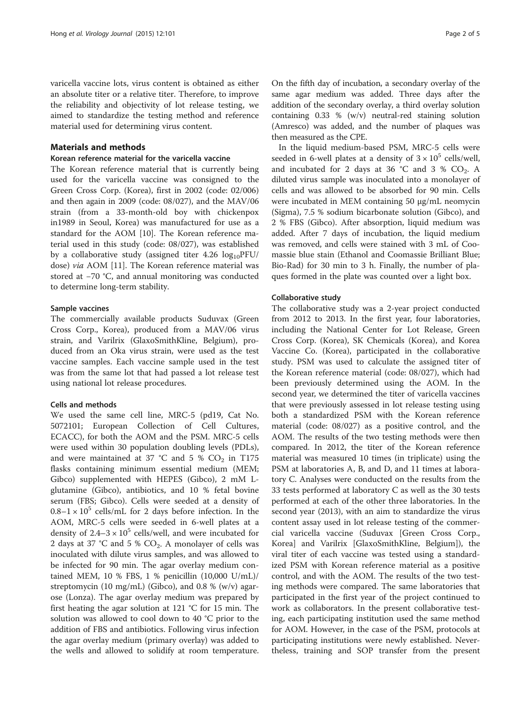varicella vaccine lots, virus content is obtained as either an absolute titer or a relative titer. Therefore, to improve the reliability and objectivity of lot release testing, we aimed to standardize the testing method and reference material used for determining virus content.

# Materials and methods

#### Korean reference material for the varicella vaccine

The Korean reference material that is currently being used for the varicella vaccine was consigned to the Green Cross Corp. (Korea), first in 2002 (code: 02/006) and then again in 2009 (code: 08/027), and the MAV/06 strain (from a 33-month-old boy with chickenpox in1989 in Seoul, Korea) was manufactured for use as a standard for the AOM [[10](#page-4-0)]. The Korean reference material used in this study (code: 08/027), was established by a collaborative study (assigned titer  $4.26 \log_{10}$ PFU/ dose) via AOM [\[11](#page-4-0)]. The Korean reference material was stored at −70 °C, and annual monitoring was conducted to determine long-term stability.

#### Sample vaccines

The commercially available products Suduvax (Green Cross Corp., Korea), produced from a MAV/06 virus strain, and Varilrix (GlaxoSmithKline, Belgium), produced from an Oka virus strain, were used as the test vaccine samples. Each vaccine sample used in the test was from the same lot that had passed a lot release test using national lot release procedures.

# Cells and methods

We used the same cell line, MRC-5 (pd19, Cat No. 5072101; European Collection of Cell Cultures, ECACC), for both the AOM and the PSM. MRC-5 cells were used within 30 population doubling levels (PDLs), and were maintained at 37 °C and 5 %  $CO<sub>2</sub>$  in T175 flasks containing minimum essential medium (MEM; Gibco) supplemented with HEPES (Gibco), 2 mM Lglutamine (Gibco), antibiotics, and 10 % fetal bovine serum (FBS; Gibco). Cells were seeded at a density of  $0.8-1 \times 10^5$  cells/mL for 2 days before infection. In the AOM, MRC-5 cells were seeded in 6-well plates at a density of  $2.4-3 \times 10^5$  cells/well, and were incubated for 2 days at 37 °C and 5 %  $CO<sub>2</sub>$ . A monolayer of cells was inoculated with dilute virus samples, and was allowed to be infected for 90 min. The agar overlay medium contained MEM, 10 % FBS, 1 % penicillin (10,000 U/mL)/ streptomycin (10 mg/mL) (Gibco), and 0.8 % (w/v) agarose (Lonza). The agar overlay medium was prepared by first heating the agar solution at 121 °C for 15 min. The solution was allowed to cool down to 40 °C prior to the addition of FBS and antibiotics. Following virus infection the agar overlay medium (primary overlay) was added to the wells and allowed to solidify at room temperature.

On the fifth day of incubation, a secondary overlay of the same agar medium was added. Three days after the addition of the secondary overlay, a third overlay solution containing 0.33 % (w/v) neutral-red staining solution (Amresco) was added, and the number of plaques was then measured as the CPE.

In the liquid medium-based PSM, MRC-5 cells were seeded in 6-well plates at a density of  $3 \times 10^5$  cells/well, and incubated for 2 days at 36 °C and 3 %  $CO<sub>2</sub>$ . A diluted virus sample was inoculated into a monolayer of cells and was allowed to be absorbed for 90 min. Cells were incubated in MEM containing 50 μg/mL neomycin (Sigma), 7.5 % sodium bicarbonate solution (Gibco), and 2 % FBS (Gibco). After absorption, liquid medium was added. After 7 days of incubation, the liquid medium was removed, and cells were stained with 3 mL of Coomassie blue stain (Ethanol and Coomassie Brilliant Blue; Bio-Rad) for 30 min to 3 h. Finally, the number of plaques formed in the plate was counted over a light box.

### Collaborative study

The collaborative study was a 2-year project conducted from 2012 to 2013. In the first year, four laboratories, including the National Center for Lot Release, Green Cross Corp. (Korea), SK Chemicals (Korea), and Korea Vaccine Co. (Korea), participated in the collaborative study. PSM was used to calculate the assigned titer of the Korean reference material (code: 08/027), which had been previously determined using the AOM. In the second year, we determined the titer of varicella vaccines that were previously assessed in lot release testing using both a standardized PSM with the Korean reference material (code: 08/027) as a positive control, and the AOM. The results of the two testing methods were then compared. In 2012, the titer of the Korean reference material was measured 10 times (in triplicate) using the PSM at laboratories A, B, and D, and 11 times at laboratory C. Analyses were conducted on the results from the 33 tests performed at laboratory C as well as the 30 tests performed at each of the other three laboratories. In the second year (2013), with an aim to standardize the virus content assay used in lot release testing of the commercial varicella vaccine (Suduvax [Green Cross Corp., Korea] and Varilrix [GlaxoSmithKline, Belgium]), the viral titer of each vaccine was tested using a standardized PSM with Korean reference material as a positive control, and with the AOM. The results of the two testing methods were compared. The same laboratories that participated in the first year of the project continued to work as collaborators. In the present collaborative testing, each participating institution used the same method for AOM. However, in the case of the PSM, protocols at participating institutions were newly established. Nevertheless, training and SOP transfer from the present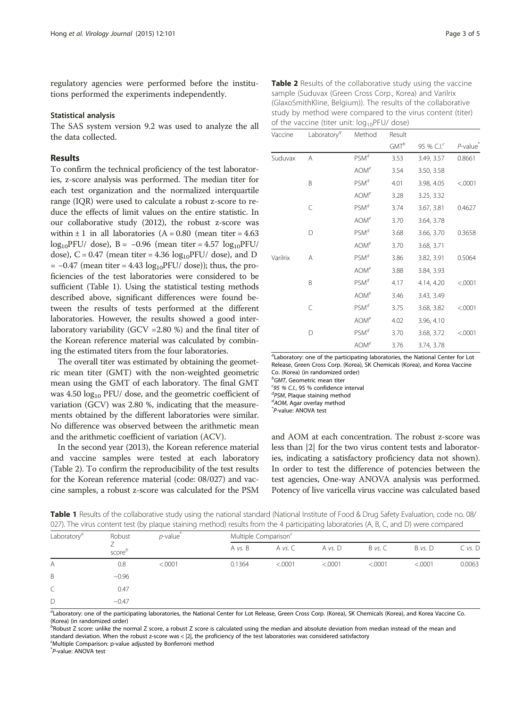regulatory agencies were performed before the institutions performed the experiments independently.

## Statistical analysis

The SAS system version 9.2 was used to analyze the all the data collected.

### Results

To confirm the technical proficiency of the test laboratories, z-score analysis was performed. The median titer for each test organization and the normalized interquartile range (IQR) were used to calculate a robust z-score to reduce the effects of limit values on the entire statistic. In our collaborative study (2012), the robust z-score was within  $\pm 1$  in all laboratories (A = 0.80 (mean titer = 4.63)  $log_{10}$ PFU/ dose), B = -0.96 (mean titer = 4.57  $log_{10}$ PFU/ dose),  $C = 0.47$  (mean titer = 4.36  $log_{10}$ PFU/ dose), and D  $= -0.47$  (mean titer = 4.43  $log_{10}$ PFU/ dose)); thus, the proficiencies of the test laboratories were considered to be sufficient (Table 1). Using the statistical testing methods described above, significant differences were found between the results of tests performed at the different laboratories. However, the results showed a good interlaboratory variability (GCV =2.80 %) and the final titer of the Korean reference material was calculated by combining the estimated titers from the four laboratories.

The overall titer was estimated by obtaining the geometric mean titer (GMT) with the non-weighted geometric mean using the GMT of each laboratory. The final GMT was  $4.50 \log_{10}$  PFU/ dose, and the geometric coefficient of variation (GCV) was 2.80 %, indicating that the measurements obtained by the different laboratories were similar. No difference was observed between the arithmetic mean and the arithmetic coefficient of variation (ACV).

In the second year (2013), the Korean reference material and vaccine samples were tested at each laboratory (Table 2). To confirm the reproducibility of the test results for the Korean reference material (code: 08/027) and vaccine samples, a robust z-score was calculated for the PSM

| Vaccine | Laboratory <sup>a</sup> | Method           | Result  |            |                                           |
|---------|-------------------------|------------------|---------|------------|-------------------------------------------|
|         |                         |                  | $GMT^b$ | 95 % $Clc$ | $P$ -value <sup><math>\dot{}</math></sup> |
| Suduvax | Α                       | PSM <sup>d</sup> | 3.53    | 3.49, 3.57 | 0.8661                                    |
|         |                         | AOM <sup>e</sup> | 3.54    | 3.50, 3.58 |                                           |
|         | B                       | PSM <sup>d</sup> | 4.01    | 3.98, 4.05 | < .0001                                   |
|         |                         | AOM <sup>e</sup> | 3.28    | 3.25, 3.32 |                                           |
|         |                         | PSM <sup>d</sup> | 3.74    | 3.67, 3.81 | 0.4627                                    |
|         |                         | AOM <sup>e</sup> | 3.70    | 3.64, 3.78 |                                           |
|         |                         |                  |         |            |                                           |

|          | C | PSM <sup>d</sup> | 3.74 | 3.67, 3.81 | 0.4627  |
|----------|---|------------------|------|------------|---------|
|          |   | AOM <sup>e</sup> | 3.70 | 3.64, 3.78 |         |
|          | D | PSM <sup>d</sup> | 3.68 | 3.66, 3.70 | 0.3658  |
|          |   | AOM <sup>e</sup> | 3.70 | 3.68, 3.71 |         |
| Varilrix | Α | PSM <sup>d</sup> | 3.86 | 3.82, 3.91 | 0.5064  |
|          |   | AOM <sup>e</sup> | 3.88 | 3.84, 3.93 |         |
|          | B | PSM <sup>d</sup> | 4.17 | 4.14, 4.20 | < .0001 |
|          |   | AOM <sup>e</sup> | 3.46 | 3.43, 3.49 |         |
|          | C | PSM <sup>d</sup> | 3.75 | 3.68, 3.82 | < .0001 |
|          |   | AOM <sup>e</sup> | 4.02 | 3.96, 4.10 |         |

<sup>a</sup>Laboratory: one of the participating laboratories, the National Center for Lot Release, Green Cross Corp. (Korea), SK Chemicals (Korea), and Korea Vaccine Co. (Korea) (in randomized order)

D  $PSM^d$  3.70 3.68, 3.72 <.0001 AOM<sup>e</sup> 3.76 3.74, 3.78

 $^{b}$ GMT, Geometric mean titer<br><sup>cos % CL 95 % confidence</sup>

 $^{c}$ 95 % C.I., 95 % confidence interval<br> $^{d}$ ps44 Blogue staining method

 ${}^{\alpha}$ PSM, Plaque staining method  ${}^{\alpha}$ AOM. Agar overlay method

 $d$ AOM, Agar overlay method

P-value: ANOVA test

and AOM at each concentration. The robust z-score was less than |2| for the two virus content tests and laboratories, indicating a satisfactory proficiency data not shown). In order to test the difference of potencies between the test agencies, One-way ANOVA analysis was performed. Potency of live varicella virus vaccine was calculated based

| 027). The virus content test (by plague staining method) results from the 4 participating laboratories (A, B, C, and D) were compared |                    |                 |         |                                  |           |         |         |         |  |  |
|---------------------------------------------------------------------------------------------------------------------------------------|--------------------|-----------------|---------|----------------------------------|-----------|---------|---------|---------|--|--|
| Laboratory <sup><math>a</math></sup>                                                                                                  | Robust             | <i>p</i> -value |         | Multiple Comparison <sup>c</sup> |           |         |         |         |  |  |
|                                                                                                                                       | score <sup>t</sup> |                 | A vs. B | A vs. C                          | A $vs. D$ | B vs. C | B vs. D | C vs. D |  |  |
| Α                                                                                                                                     | 0.8                | < 0001          | 0.1364  | < 0001                           | < 0001    | < 0001  | &0.001  | 0.0063  |  |  |
| B.                                                                                                                                    | $-0.96$            |                 |         |                                  |           |         |         |         |  |  |
|                                                                                                                                       | 0.47               |                 |         |                                  |           |         |         |         |  |  |

Table 1 Results of the collaborative study using the national standard (National Institute of Food & Drug Safety Evaluation, code no. 08/ 027). The virus content test (by plaque staining method) results from the 4 participating laboratories (A, B, C, and D) were compared

a Laboratory: one of the participating laboratories, the National Center for Lot Release, Green Cross Corp. (Korea), SK Chemicals (Korea), and Korea Vaccine Co. (Korea) (in randomized order)

<sup>b</sup>Robust Z score: unlike the normal Z score, a robust Z score is calculated using the median and absolute deviation from median instead of the mean and standard deviation. When the robust z-score was < |2|, the proficiency of the test laboratories was considered satisfactory <sup>c</sup>Multiple Comparison: p-value adjusted by Bonferroni method

\* P-value: ANOVA test

 $D = -0.47$ 

| Table 2 Results of the collaborative study using the vaccine  |
|---------------------------------------------------------------|
| sample (Suduvax (Green Cross Corp., Korea) and Varilrix       |
| (GlaxoSmithKline, Belgium)). The results of the collaborative |
| study by method were compared to the virus content (titer)    |
| of the vaccine (titer unit: $log_{10}$ PFU/ dose)             |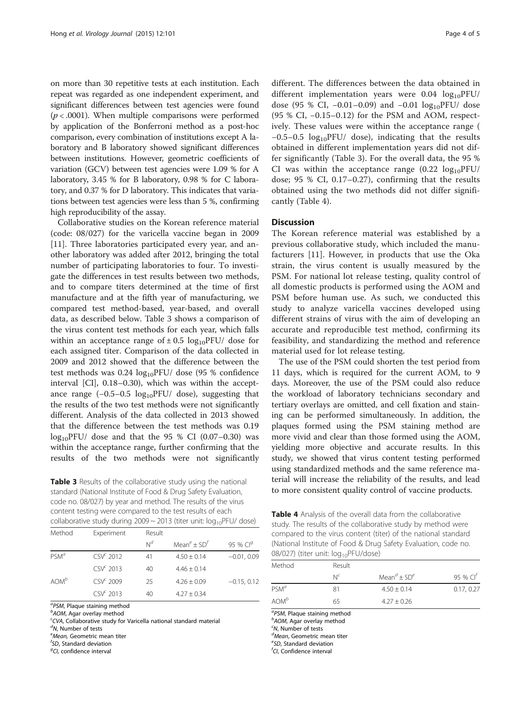on more than 30 repetitive tests at each institution. Each repeat was regarded as one independent experiment, and significant differences between test agencies were found  $(p < .0001)$ . When multiple comparisons were performed by application of the Bonferroni method as a post-hoc comparison, every combination of institutions except A laboratory and B laboratory showed significant differences between institutions. However, geometric coefficients of variation (GCV) between test agencies were 1.09 % for A laboratory, 3.45 % for B laboratory, 0.98 % for C laboratory, and 0.37 % for D laboratory. This indicates that variations between test agencies were less than 5 %, confirming high reproducibility of the assay.

Collaborative studies on the Korean reference material (code: 08/027) for the varicella vaccine began in 2009 [[11\]](#page-4-0). Three laboratories participated every year, and another laboratory was added after 2012, bringing the total number of participating laboratories to four. To investigate the differences in test results between two methods, and to compare titers determined at the time of first manufacture and at the fifth year of manufacturing, we compared test method-based, year-based, and overall data, as described below. Table 3 shows a comparison of the virus content test methods for each year, which falls within an acceptance range of  $\pm$  0.5 log<sub>10</sub>PFU/ dose for each assigned titer. Comparison of the data collected in 2009 and 2012 showed that the difference between the test methods was  $0.24 \log_{10}$ PFU/ dose (95 % confidence interval [CI], 0.18–0.30), which was within the acceptance range  $(-0.5-0.5 \log_{10}$ PFU/ dose), suggesting that the results of the two test methods were not significantly different. Analysis of the data collected in 2013 showed that the difference between the test methods was 0.19  $log_{10}$ PFU/ dose and that the 95 % CI (0.07–0.30) was within the acceptance range, further confirming that the results of the two methods were not significantly

Table 3 Results of the collaborative study using the national standard (National Institute of Food & Drug Safety Evaluation, code no. 08/027) by year and method. The results of the virus content testing were compared to the test results of each collaborative study during  $2009 \sim 2013$  (titer unit:  $log_{10}$ PFU/ dose)

| Method           | Experiment            | Result         |                                     |               |  |  |
|------------------|-----------------------|----------------|-------------------------------------|---------------|--|--|
|                  |                       | N <sup>d</sup> | Mean <sup>e</sup> + SD <sup>t</sup> | 95 % $Clg$    |  |  |
| $PSM^a$          | CSV <sup>c</sup> 2012 | 41             | $4.50 + 0.14$                       | $-0.01, 0.09$ |  |  |
|                  | $CSVc$ 2013           | 40             | $4.46 + 0.14$                       |               |  |  |
| AOM <sup>b</sup> | $CSVc$ 2009           | 25             | $4.26 \pm 0.09$                     | $-0.15, 0.12$ |  |  |
|                  | $\mathsf{CSV}^c$ 2013 | 40             | $4.27 \pm 0.34$                     |               |  |  |

<sup>a</sup>PSM, Plaque staining method<br><sup>b</sup>AOM, Agar overlay method

 $b$ AOM, Agar overlay method

 $CVA$ , Collaborative study for Varicella national standard material

 $\alpha$ <sup>d</sup>N, Number of tests

<sup>e</sup>Mean, Geometric mean titer

 $<sup>f</sup>SD$ , Standard deviation</sup> <sup>g</sup>CI, confidence interval

different. The differences between the data obtained in different implementation years were  $0.04 \log_{10}$ PFU/ dose (95 % CI, -0.01-0.09) and -0.01 log<sub>10</sub>PFU/ dose (95 % CI, −0.15–0.12) for the PSM and AOM, respectively. These values were within the acceptance range ( −0.5–0.5 log10PFU/ dose), indicating that the results obtained in different implementation years did not differ significantly (Table 3). For the overall data, the 95 % CI was within the acceptance range  $(0.22 \log_{10}$ PFU/ dose; 95 % CI, 0.17–0.27), confirming that the results obtained using the two methods did not differ significantly (Table 4).

# **Discussion**

The Korean reference material was established by a previous collaborative study, which included the manufacturers [[11\]](#page-4-0). However, in products that use the Oka strain, the virus content is usually measured by the PSM. For national lot release testing, quality control of all domestic products is performed using the AOM and PSM before human use. As such, we conducted this study to analyze varicella vaccines developed using different strains of virus with the aim of developing an accurate and reproducible test method, confirming its feasibility, and standardizing the method and reference material used for lot release testing.

The use of the PSM could shorten the test period from 11 days, which is required for the current AOM, to 9 days. Moreover, the use of the PSM could also reduce the workload of laboratory technicians secondary and tertiary overlays are omitted, and cell fixation and staining can be performed simultaneously. In addition, the plaques formed using the PSM staining method are more vivid and clear than those formed using the AOM, yielding more objective and accurate results. In this study, we showed that virus content testing performed using standardized methods and the same reference material will increase the reliability of the results, and lead to more consistent quality control of vaccine products.

Table 4 Analysis of the overall data from the collaborative study. The results of the collaborative study by method were compared to the virus content (titer) of the national standard (National Institute of Food & Drug Safety Evaluation, code no. 08/027) (titer unit: log<sub>10</sub>PFU/dose)

| Method           | Result  |                                                  |             |
|------------------|---------|--------------------------------------------------|-------------|
|                  | $N^{c}$ | Mean <sup><math>d</math></sup> + SD <sup>e</sup> | 95 % $Cl^t$ |
| $PSM^a$          | 81      | $4.50 \pm 0.14$                                  | 0.17, 0.27  |
| AOM <sup>b</sup> | 65      | $4.27 \pm 0.26$                                  |             |
|                  |         |                                                  |             |

 ${}^{a}PSM$ , Plaque staining method

 $b$ AOM, Agar overlay method

 $~^{\circ}$ N, Number of tests

 $d$ Mean, Geometric mean titer

<sup>e</sup>SD, Standard deviation

<sup>f</sup>CI, Confidence interval